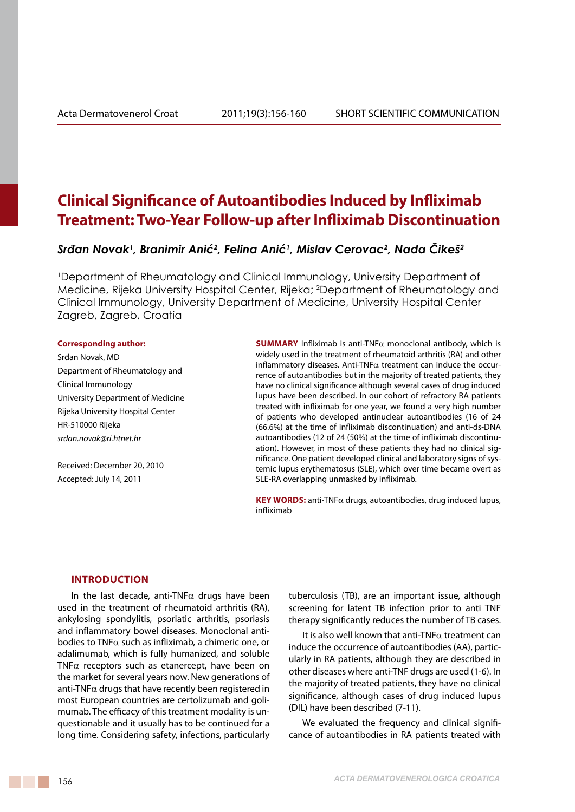# **Clinical Significance of Autoantibodies Induced by Infliximab Treatment: Two-Year Follow-up after Infliximab Discontinuation**

## *Srđan Novak<sup>1</sup> , Branimir Anić<sup>2</sup> , Felina Anić<sup>1</sup> , Mislav Cerovac<sup>2</sup> , Nada Čikeš<sup>2</sup>*

1 Department of Rheumatology and Clinical Immunology, University Department of Medicine, Rijeka University Hospital Center, Rijeka; 2 Department of Rheumatology and Clinical Immunology, University Department of Medicine, University Hospital Center Zagreb, Zagreb, Croatia

#### **Corresponding author:**

Srđan Novak, MD Department of Rheumatology and Clinical Immunology University Department of Medicine Rijeka University Hospital Center HR-510000 Rijeka *srdan.novak@ri.htnet.hr*

Received: December 20, 2010 Accepted: July 14, 2011

**Summary** Infliximab is anti-TNFα monoclonal antibody, which is widely used in the treatment of rheumatoid arthritis (RA) and other inflammatory diseases. Anti-TNF $\alpha$  treatment can induce the occurrence of autoantibodies but in the majority of treated patients, they have no clinical significance although several cases of drug induced lupus have been described. In our cohort of refractory RA patients treated with infliximab for one year, we found a very high number of patients who developed antinuclear autoantibodies (16 of 24 (66.6%) at the time of infliximab discontinuation) and anti-ds-DNA autoantibodies (12 of 24 (50%) at the time of infliximab discontinuation). However, in most of these patients they had no clinical significance. One patient developed clinical and laboratory signs of systemic lupus erythematosus (SLE), which over time became overt as SLE-RA overlapping unmasked by infliximab.

**Key words:** anti-TNFα drugs, autoantibodies, drug induced lupus, infliximab

### **Introduction**

In the last decade, anti-TNF $\alpha$  drugs have been used in the treatment of rheumatoid arthritis (RA), ankylosing spondylitis, psoriatic arthritis, psoriasis and inflammatory bowel diseases. Monoclonal antibodies to TNF $\alpha$  such as infliximab, a chimeric one, or adalimumab, which is fully humanized, and soluble TNF $\alpha$  receptors such as etanercept, have been on the market for several years now. New generations of anti-TNF $\alpha$  drugs that have recently been registered in most European countries are certolizumab and golimumab. The efficacy of this treatment modality is unquestionable and it usually has to be continued for a long time. Considering safety, infections, particularly tuberculosis (TB), are an important issue, although screening for latent TB infection prior to anti TNF therapy significantly reduces the number of TB cases.

It is also well known that anti-TNF $\alpha$  treatment can induce the occurrence of autoantibodies (AA), particularly in RA patients, although they are described in other diseases where anti-TNF drugs are used (1-6). In the majority of treated patients, they have no clinical significance, although cases of drug induced lupus (DIL) have been described (7-11).

We evaluated the frequency and clinical significance of autoantibodies in RA patients treated with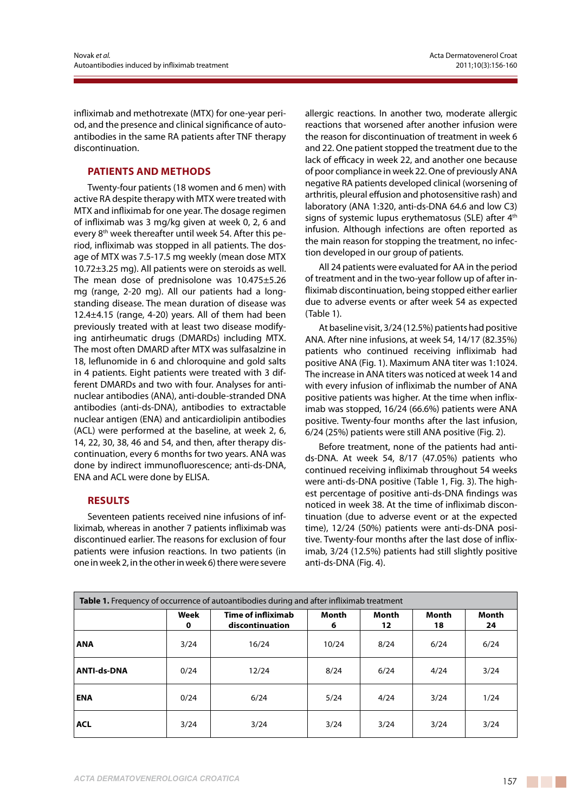infliximab and methotrexate (MTX) for one-year period, and the presence and clinical significance of autoantibodies in the same RA patients after TNF therapy discontinuation.

## **Patients and methods**

Twenty-four patients (18 women and 6 men) with active RA despite therapy with MTX were treated with MTX and infliximab for one year. The dosage regimen of infliximab was 3 mg/kg given at week 0, 2, 6 and every 8<sup>th</sup> week thereafter until week 54. After this period, infliximab was stopped in all patients. The dosage of MTX was 7.5-17.5 mg weekly (mean dose MTX 10.72±3.25 mg). All patients were on steroids as well. The mean dose of prednisolone was 10.475±5.26 mg (range, 2-20 mg). All our patients had a longstanding disease. The mean duration of disease was 12.4±4.15 (range, 4-20) years. All of them had been previously treated with at least two disease modifying antirheumatic drugs (DMARDs) including MTX. The most often DMARD after MTX was sulfasalzine in 18, leflunomide in 6 and chloroquine and gold salts in 4 patients. Eight patients were treated with 3 different DMARDs and two with four. Analyses for antinuclear antibodies (ANA), anti-double-stranded DNA antibodies (anti-ds-DNA), antibodies to extractable nuclear antigen (ENA) and anticardiolipin antibodies (ACL) were performed at the baseline, at week 2, 6, 14, 22, 30, 38, 46 and 54, and then, after therapy discontinuation, every 6 months for two years. ANA was done by indirect immunofluorescence; anti-ds-DNA, ENA and ACL were done by ELISA.

## **Results**

Seventeen patients received nine infusions of infliximab, whereas in another 7 patients infliximab was discontinued earlier. The reasons for exclusion of four patients were infusion reactions. In two patients (in one in week 2, in the other in week 6) there were severe allergic reactions. In another two, moderate allergic reactions that worsened after another infusion were the reason for discontinuation of treatment in week 6 and 22. One patient stopped the treatment due to the lack of efficacy in week 22, and another one because of poor compliance in week 22. One of previously ANA negative RA patients developed clinical (worsening of arthritis, pleural effusion and photosensitive rash) and laboratory (ANA 1:320, anti-ds-DNA 64.6 and low C3) signs of systemic lupus erythematosus (SLE) after 4<sup>th</sup> infusion. Although infections are often reported as the main reason for stopping the treatment, no infection developed in our group of patients.

All 24 patients were evaluated for AA in the period of treatment and in the two-year follow up of after infliximab discontinuation, being stopped either earlier due to adverse events or after week 54 as expected (Table 1).

At baseline visit, 3/24 (12.5%) patients had positive ANA. After nine infusions, at week 54, 14/17 (82.35%) patients who continued receiving infliximab had positive ANA (Fig. 1). Maximum ANA titer was 1:1024. The increase in ANA titers was noticed at week 14 and with every infusion of infliximab the number of ANA positive patients was higher. At the time when infliximab was stopped, 16/24 (66.6%) patients were ANA positive. Twenty-four months after the last infusion, 6/24 (25%) patients were still ANA positive (Fig. 2).

Before treatment, none of the patients had antids-DNA. At week 54, 8/17 (47.05%) patients who continued receiving infliximab throughout 54 weeks were anti-ds-DNA positive (Table 1, Fig. 3). The highest percentage of positive anti-ds-DNA findings was noticed in week 38. At the time of infliximab discontinuation (due to adverse event or at the expected time), 12/24 (50%) patients were anti-ds-DNA positive. Twenty-four months after the last dose of infliximab, 3/24 (12.5%) patients had still slightly positive anti-ds-DNA (Fig. 4).

| <b>Table 1.</b> Frequency of occurrence of autoantibodies during and after infliximab treatment |           |                                              |            |             |                    |             |
|-------------------------------------------------------------------------------------------------|-----------|----------------------------------------------|------------|-------------|--------------------|-------------|
|                                                                                                 | Week<br>0 | <b>Time of infliximab</b><br>discontinuation | Month<br>6 | Month<br>12 | <b>Month</b><br>18 | Month<br>24 |
| <b>ANA</b>                                                                                      | 3/24      | 16/24                                        | 10/24      | 8/24        | 6/24               | 6/24        |
| <b>ANTI-ds-DNA</b>                                                                              | 0/24      | 12/24                                        | 8/24       | 6/24        | 4/24               | 3/24        |
| <b>ENA</b>                                                                                      | 0/24      | 6/24                                         | 5/24       | 4/24        | 3/24               | 1/24        |
| <b>ACL</b>                                                                                      | 3/24      | 3/24                                         | 3/24       | 3/24        | 3/24               | 3/24        |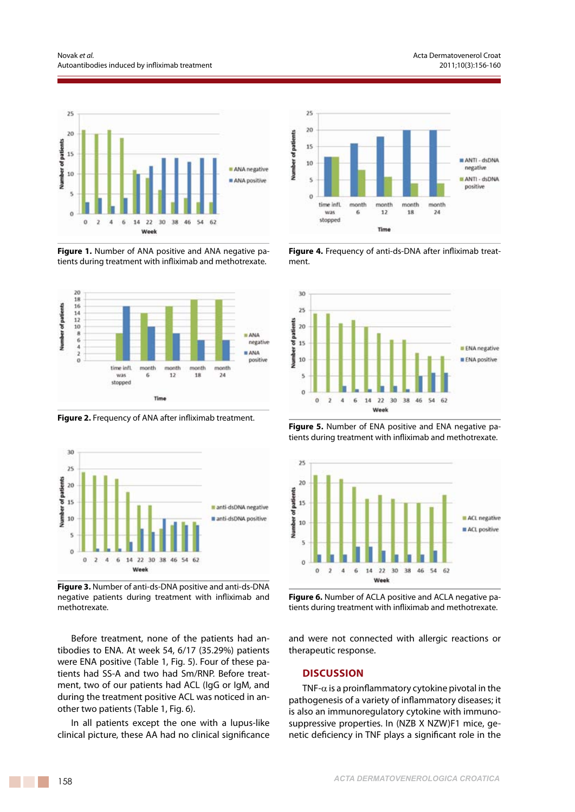

**Figure 1.** Number of ANA positive and ANA negative patients during treatment with infliximab and methotrexate.



**Figure 2.** Frequency of ANA after infliximab treatment.



**Figure 3.** Number of anti-ds-DNA positive and anti-ds-DNA negative patients during treatment with infliximab and methotrexate.

Before treatment, none of the patients had antibodies to ENA. At week 54, 6/17 (35.29%) patients were ENA positive (Table 1, Fig. 5). Four of these patients had SS-A and two had Sm/RNP. Before treatment, two of our patients had ACL (IgG or IgM, and during the treatment positive ACL was noticed in another two patients (Table 1, Fig. 6).

In all patients except the one with a lupus-like clinical picture, these AA had no clinical significance



**Figure 4.** Frequency of anti-ds-DNA after infliximab treatment.



**Figure 5.** Number of ENA positive and ENA negative patients during treatment with infliximab and methotrexate.



**Figure 6.** Number of ACLA positive and ACLA negative patients during treatment with infliximab and methotrexate.

and were not connected with allergic reactions or therapeutic response.

### **Discussion**

TNF- $\alpha$  is a proinflammatory cytokine pivotal in the pathogenesis of a variety of inflammatory diseases; it is also an immunoregulatory cytokine with immunosuppressive properties. In (NZB X NZW)F1 mice, genetic deficiency in TNF plays a significant role in the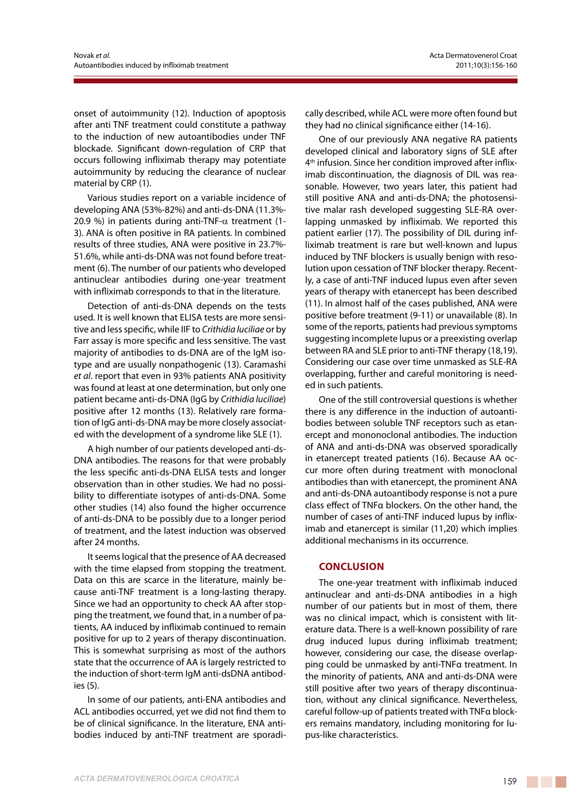onset of autoimmunity (12). Induction of apoptosis after anti TNF treatment could constitute a pathway to the induction of new autoantibodies under TNF blockade. Significant down-regulation of CRP that occurs following infliximab therapy may potentiate autoimmunity by reducing the clearance of nuclear material by CRP (1).

Various studies report on a variable incidence of developing ANA (53%-82%) and anti-ds-DNA (11.3%- 20.9 %) in patients during anti-TNF- $\alpha$  treatment (1-3). ANA is often positive in RA patients. In combined results of three studies, ANA were positive in 23.7%- 51.6%, while anti-ds-DNA was not found before treatment (6). The number of our patients who developed antinuclear antibodies during one-year treatment with infliximab corresponds to that in the literature.

Detection of anti-ds-DNA depends on the tests used. It is well known that ELISA tests are more sensitive and less specific, while IIF to *Crithidia luciliae* or by Farr assay is more specific and less sensitive. The vast majority of antibodies to ds-DNA are of the IgM isotype and are usually nonpathogenic (13). Caramashi *et al*. report that even in 93% patients ANA positivity was found at least at one determination, but only one patient became anti-ds-DNA (IgG by *Crithidia luciliae*) positive after 12 months (13). Relatively rare formation of IgG anti-ds-DNA may be more closely associated with the development of a syndrome like SLE (1).

A high number of our patients developed anti-ds-DNA antibodies. The reasons for that were probably the less specific anti-ds-DNA ELISA tests and longer observation than in other studies. We had no possibility to differentiate isotypes of anti-ds-DNA. Some other studies (14) also found the higher occurrence of anti-ds-DNA to be possibly due to a longer period of treatment, and the latest induction was observed after 24 months.

It seems logical that the presence of AA decreased with the time elapsed from stopping the treatment. Data on this are scarce in the literature, mainly because anti-TNF treatment is a long-lasting therapy. Since we had an opportunity to check AA after stopping the treatment, we found that, in a number of patients, AA induced by infliximab continued to remain positive for up to 2 years of therapy discontinuation. This is somewhat surprising as most of the authors state that the occurrence of AA is largely restricted to the induction of short-term IgM anti-dsDNA antibodies (5).

In some of our patients, anti-ENA antibodies and ACL antibodies occurred, yet we did not find them to be of clinical significance. In the literature, ENA antibodies induced by anti-TNF treatment are sporadically described, while ACL were more often found but they had no clinical significance either (14-16).

One of our previously ANA negative RA patients developed clinical and laboratory signs of SLE after 4<sup>th</sup> infusion. Since her condition improved after infliximab discontinuation, the diagnosis of DIL was reasonable. However, two years later, this patient had still positive ANA and anti-ds-DNA; the photosensitive malar rash developed suggesting SLE-RA overlapping unmasked by infliximab. We reported this patient earlier (17). The possibility of DIL during infliximab treatment is rare but well-known and lupus induced by TNF blockers is usually benign with resolution upon cessation of TNF blocker therapy. Recently, a case of anti-TNF induced lupus even after seven years of therapy with etanercept has been described (11). In almost half of the cases published, ANA were positive before treatment (9-11) or unavailable (8). In some of the reports, patients had previous symptoms suggesting incomplete lupus or a preexisting overlap between RA and SLE prior to anti-TNF therapy (18,19). Considering our case over time unmasked as SLE-RA overlapping, further and careful monitoring is needed in such patients.

One of the still controversial questions is whether there is any difference in the induction of autoantibodies between soluble TNF receptors such as etanercept and mononoclonal antibodies. The induction of ANA and anti-ds-DNA was observed sporadically in etanercept treated patients (16). Because AA occur more often during treatment with monoclonal antibodies than with etanercept, the prominent ANA and anti-ds-DNA autoantibody response is not a pure class effect of TNFα blockers. On the other hand, the number of cases of anti-TNF induced lupus by infliximab and etanercept is similar (11,20) which implies additional mechanisms in its occurrence.

### **Conclusion**

The one-year treatment with infliximab induced antinuclear and anti-ds-DNA antibodies in a high number of our patients but in most of them, there was no clinical impact, which is consistent with literature data. There is a well-known possibility of rare drug induced lupus during infliximab treatment; however, considering our case, the disease overlapping could be unmasked by anti-TNFα treatment. In the minority of patients, ANA and anti-ds-DNA were still positive after two years of therapy discontinuation, without any clinical significance. Nevertheless, careful follow-up of patients treated with TNFα blockers remains mandatory, including monitoring for lupus-like characteristics.

a sa na